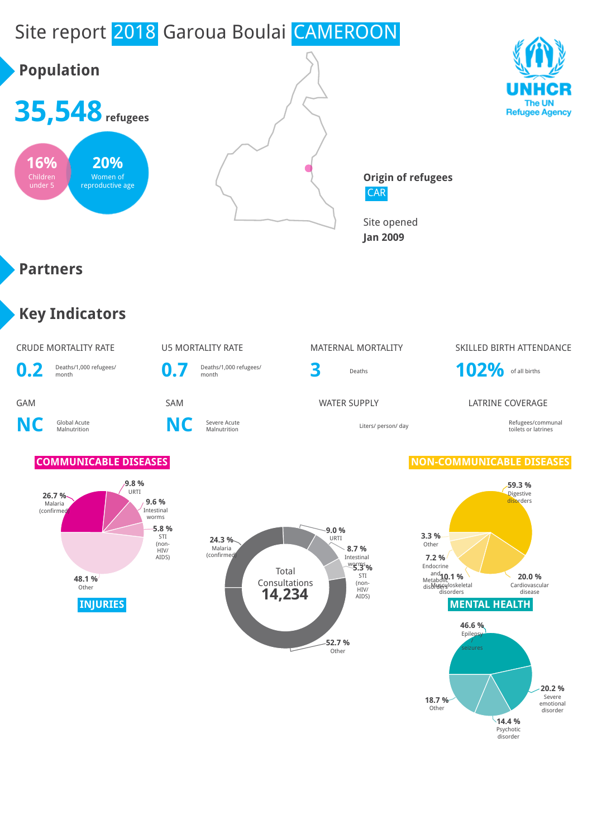# Site report 2018 Garoua Boulai CAMEROON

**0.7** Deaths/1,000 refugees/

## **Population**







**Origin of refugees** CAR

Site opened **Jan 2009**

### **Partners**

### **Key Indicators**

**NC** Global Acute

**0.2** Deaths/1,000 refugees/

**C** Severe Acute<br>Malnutrition **NC** Severe Acute





### CRUDE MORTALITY RATE **WATER WATER WATERNAL MORTALITY** SKILLED BIRTH ATTENDANCE



### GAM SAM SAM SAM WATER SUPPLY LATRINE COVERAGE

Malnutrition Liters/ person/ day Refugees/communal toilets or latrines

### **COMMUNICABLE DISEASES NON-COMMUNICABLE DISEASES**

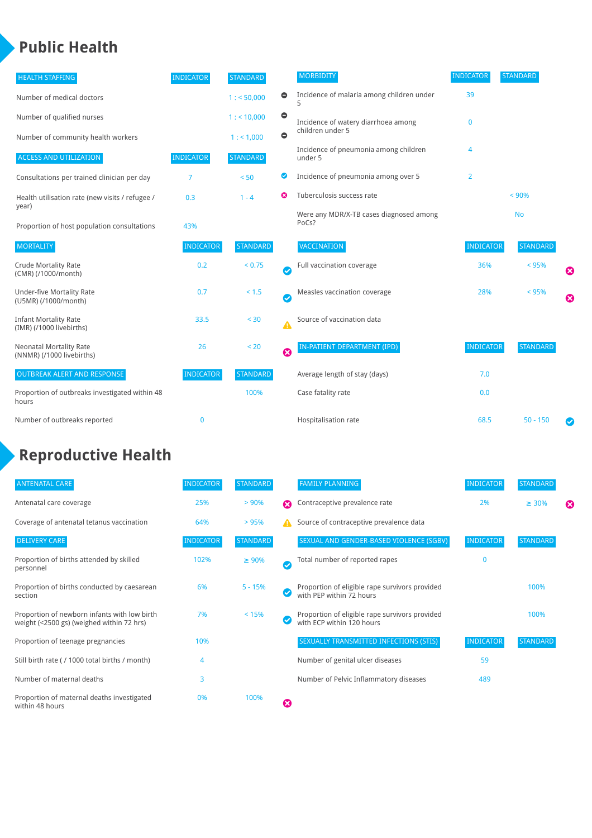### **Public Health**

| <b>HEALTH STAFFING</b>                                      | <b>INDICATOR</b> | <b>STANDARD</b> |                                | <b>MORBIDITY</b>                                 | <b>INDICATOR</b> | <b>STANDARD</b> |   |
|-------------------------------------------------------------|------------------|-----------------|--------------------------------|--------------------------------------------------|------------------|-----------------|---|
| Number of medical doctors                                   |                  | 1: 50,000       | $\bullet$                      | Incidence of malaria among children under        | 39               |                 |   |
| Number of qualified nurses                                  |                  | $1:$ < 10,000   | $\bullet$                      | Incidence of watery diarrhoea among              | $\mathbf 0$      |                 |   |
| Number of community health workers                          |                  | 1:1,000         | $\bullet$                      | children under 5                                 |                  |                 |   |
| <b>ACCESS AND UTILIZATION</b>                               | <b>INDICATOR</b> | <b>STANDARD</b> |                                | Incidence of pneumonia among children<br>under 5 | 4                |                 |   |
| Consultations per trained clinician per day                 | $\overline{7}$   | < 50            | ◎                              | Incidence of pneumonia among over 5              | $\overline{2}$   |                 |   |
| Health utilisation rate (new visits / refugee /             | 0.3              | $1 - 4$         | Tuberculosis success rate<br>ೞ |                                                  |                  | < 90%           |   |
| year)<br>Proportion of host population consultations        | 43%              |                 |                                | Were any MDR/X-TB cases diagnosed among<br>PoCs? |                  | <b>No</b>       |   |
| <b>MORTALITY</b>                                            | <b>INDICATOR</b> | <b>STANDARD</b> |                                | <b>VACCINATION</b>                               | <b>INDICATOR</b> | <b>STANDARD</b> |   |
| <b>Crude Mortality Rate</b><br>(CMR) (/1000/month)          | 0.2              | < 0.75          | Ø                              | Full vaccination coverage                        | 36%              | < 95%           | € |
| <b>Under-five Mortality Rate</b><br>(U5MR) (/1000/month)    | 0.7              | $< 1.5$         | Ø                              | Measles vaccination coverage                     | 28%              | < 95%           | Ø |
| <b>Infant Mortality Rate</b><br>(IMR) (/1000 livebirths)    | 33.5             | $30$            | Δ                              | Source of vaccination data                       |                  |                 |   |
| <b>Neonatal Mortality Rate</b><br>(NNMR) (/1000 livebirths) | 26               | < 20            | 0                              | IN-PATIENT DEPARTMENT (IPD)                      | <b>INDICATOR</b> | <b>STANDARD</b> |   |
| <b>OUTBREAK ALERT AND RESPONSE</b>                          | <b>INDICATOR</b> | <b>STANDARD</b> |                                | Average length of stay (days)                    | 7.0              |                 |   |
| Proportion of outbreaks investigated within 48<br>hours     |                  | 100%            |                                | Case fatality rate                               | 0.0              |                 |   |
| Number of outbreaks reported                                | $\bf{0}$         |                 |                                | Hospitalisation rate                             | 68.5             | $50 - 150$      |   |

### **Reproductive Health**

| <b>ANTENATAL CARE</b>                                                                     | <b>INDICATOR</b> | <b>STANDARD</b> |   | <b>FAMILY PLANNING</b>                                                      | <b>INDICATOR</b> | <b>STANDARD</b> |   |
|-------------------------------------------------------------------------------------------|------------------|-----------------|---|-----------------------------------------------------------------------------|------------------|-----------------|---|
| Antenatal care coverage                                                                   | 25%              | > 90%           | ☎ | Contraceptive prevalence rate                                               | 2%               | $\geq 30\%$     | ⊠ |
| Coverage of antenatal tetanus vaccination                                                 | 64%              | >95%            |   | Source of contraceptive prevalence data                                     |                  |                 |   |
| <b>DELIVERY CARE</b>                                                                      | <b>INDICATOR</b> | <b>STANDARD</b> |   | SEXUAL AND GENDER-BASED VIOLENCE (SGBV)                                     | <b>INDICATOR</b> | <b>STANDARD</b> |   |
| Proportion of births attended by skilled<br>personnel                                     | 102%             | $\geq 90\%$     | Ø | Total number of reported rapes                                              | O                |                 |   |
| Proportion of births conducted by caesarean<br>section                                    | 6%               | $5 - 15%$       |   | Proportion of eligible rape survivors provided<br>with PEP within 72 hours  |                  | 100%            |   |
| Proportion of newborn infants with low birth<br>weight (<2500 gs) (weighed within 72 hrs) | 7%               | < 15%           |   | Proportion of eligible rape survivors provided<br>with ECP within 120 hours |                  | 100%            |   |
| Proportion of teenage pregnancies                                                         | 10%              |                 |   | SEXUALLY TRANSMITTED INFECTIONS (STIS)                                      | <b>INDICATOR</b> | <b>STANDARD</b> |   |
| Still birth rate (/1000 total births / month)                                             | 4                |                 |   | Number of genital ulcer diseases                                            | 59               |                 |   |
| Number of maternal deaths                                                                 | 3                |                 |   | Number of Pelvic Inflammatory diseases                                      | 489              |                 |   |
| Proportion of maternal deaths investigated<br>within 48 hours                             | 0%               | 100%            | ظ |                                                                             |                  |                 |   |